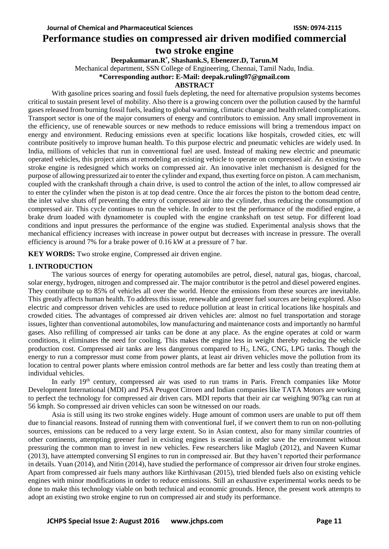## **Performance studies on compressed air driven modified commercial two stroke engine**

**Deepakumaran.R\* , Shashank.S, Ebenezer.D, Tarun.M**

Mechanical department, SSN College of Engineering, Chennai, Tamil Nadu, India.

**\*Corresponding author: E-Mail: deepak.ruling07@gmail.com**

#### **ABSTRACT**

With gasoline prices soaring and fossil fuels depleting, the need for alternative propulsion systems becomes critical to sustain present level of mobility. Also there is a growing concern over the pollution caused by the harmful gases released from burning fossil fuels, leading to global warming, climatic change and health related complications. Transport sector is one of the major consumers of energy and contributors to emission. Any small improvement in the efficiency, use of renewable sources or new methods to reduce emissions will bring a tremendous impact on energy and environment. Reducing emissions even at specific locations like hospitals, crowded cities, etc will contribute positively to improve human health. To this purpose electric and pneumatic vehicles are widely used. In India, millions of vehicles that run in conventional fuel are used. Instead of making new electric and pneumatic operated vehicles, this project aims at remodeling an existing vehicle to operate on compressed air. An existing two stroke engine is redesigned which works on compressed air. An innovative inlet mechanism is designed for the purpose of allowing pressurized air to enter the cylinder and expand, thus exerting force on piston. A cam mechanism, coupled with the crankshaft through a chain drive, is used to control the action of the inlet, to allow compressed air to enter the cylinder when the piston is at top dead centre. Once the air forces the piston to the bottom dead centre, the inlet valve shuts off preventing the entry of compressed air into the cylinder, thus reducing the consumption of compressed air. This cycle continues to run the vehicle. In order to test the performance of the modified engine, a brake drum loaded with dynamometer is coupled with the engine crankshaft on test setup. For different load conditions and input pressures the performance of the engine was studied. Experimental analysis shows that the mechanical efficiency increases with increase in power output but decreases with increase in pressure. The overall efficiency is around 7% for a brake power of 0.16 kW at a pressure of 7 bar.

**KEY WORDS:** Two stroke engine, Compressed air driven engine.

## **1. INTRODUCTION**

The various sources of energy for operating automobiles are petrol, diesel, natural gas, biogas, charcoal, solar energy, hydrogen, nitrogen and compressed air. The major contributor is the petrol and diesel powered engines. They contribute up to 85% of vehicles all over the world. Hence the emissions from these sources are inevitable. This greatly affects human health. To address this issue, renewable and greener fuel sources are being explored. Also electric and compressor driven vehicles are used to reduce pollution at least in critical locations like hospitals and crowded cities. The advantages of compressed air driven vehicles are: almost no fuel transportation and storage issues, lighter than conventional automobiles, low manufacturing and maintenance costs and importantly no harmful gases. Also refilling of compressed air tanks can be done at any place. As the engine operates at cold or warm conditions, it eliminates the need for cooling. This makes the engine less in weight thereby reducing the vehicle production cost. Compressed air tanks are less dangerous compared to H2, LNG, CNG, LPG tanks. Though the energy to run a compressor must come from power plants, at least air driven vehicles move the pollution from its location to central power plants where emission control methods are far better and less costly than treating them at individual vehicles.

In early 19<sup>th</sup> century, compressed air was used to run trams in Paris. French companies like Motor Development International (MDI) and PSA Peugeot Citroen and Indian companies like TATA Motors are working to perfect the technology for compressed air driven cars. MDI reports that their air car weighing 907kg can run at 56 kmph. So compressed air driven vehicles can soon be witnessed on our roads.

Asia is still using its two stroke engines widely. Huge amount of common users are unable to put off them due to financial reasons. Instead of running them with conventional fuel, if we convert them to run on non-polluting sources, emissions can be reduced to a very large extent. So in Asian context, also for many similar countries of other continents, attempting greener fuel in existing engines is essential in order save the environment without pressuring the common man to invest in new vehicles. Few researchers like Maglub (2012), and Naveen Kumar (2013), have attempted conversing SI engines to run in compressed air. But they haven't reported their performance in details. Yuan (2014), and Nitin (2014), have studied the performance of compressor air driven four stroke engines. Apart from compressed air fuels many authors like Kirthivasan (2015), tried blended fuels also on existing vehicle engines with minor modifications in order to reduce emissions. Still an exhaustive experimental works needs to be done to make this technology viable on both technical and economic grounds. Hence, the present work attempts to adopt an existing two stroke engine to run on compressed air and study its performance.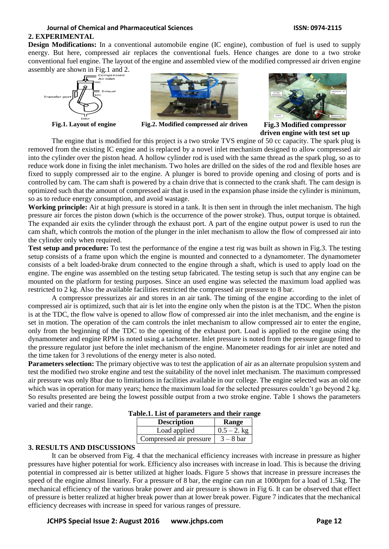# **Journal of Chemical and Pharmaceutical Sciences ISSN: 0974-2115**

## **2. EXPERIMENTAL**

**Design Modifications:** In a conventional automobile engine (IC engine), combustion of fuel is used to supply energy. But here, compressed air replaces the conventional fuels. Hence changes are done to a two stroke conventional fuel engine. The layout of the engine and assembled view of the modified compressed air driven engine assembly are shown in Fig.1 and 2.





**Fig.1. Layout of engine Fig.2. Modified compressed air driven Fig.3 Modified compressor** 



**driven engine with test set up**

The engine that is modified for this project is a two stroke TVS engine of 50 cc capacity. The spark plug is removed from the existing IC engine and is replaced by a novel inlet mechanism designed to allow compressed air into the cylinder over the piston head. A hollow cylinder rod is used with the same thread as the spark plug, so as to reduce work done in fixing the inlet mechanism. Two holes are drilled on the sides of the rod and flexible hoses are fixed to supply compressed air to the engine. A plunger is bored to provide opening and closing of ports and is controlled by cam. The cam shaft is powered by a chain drive that is connected to the crank shaft. The cam design is optimized such that the amount of compressed air that is used in the expansion phase inside the cylinder is minimum, so as to reduce energy consumption, and avoid wastage.

**Working principle:** Air at high pressure is stored in a tank. It is then sent in through the inlet mechanism. The high pressure air forces the piston down (which is the occurrence of the power stroke). Thus, output torque is obtained. The expanded air exits the cylinder through the exhaust port. A part of the engine output power is used to run the cam shaft, which controls the motion of the plunger in the inlet mechanism to allow the flow of compressed air into the cylinder only when required.

**Test setup and procedure:** To test the performance of the engine a test rig was built as shown in Fig.3. The testing setup consists of a frame upon which the engine is mounted and connected to a dynamometer. The dynamometer consists of a belt loaded-brake drum connected to the engine through a shaft, which is used to apply load on the engine. The engine was assembled on the testing setup fabricated. The testing setup is such that any engine can be mounted on the platform for testing purposes. Since an used engine was selected the maximum load applied was restricted to 2 kg. Also the available facilities restricted the compressed air pressure to 8 bar.

A compressor pressurizes air and stores in an air tank. The timing of the engine according to the inlet of compressed air is optimized, such that air is let into the engine only when the piston is at the TDC. When the piston is at the TDC, the flow valve is opened to allow flow of compressed air into the inlet mechanism, and the engine is set in motion. The operation of the cam controls the inlet mechanism to allow compressed air to enter the engine, only from the beginning of the TDC to the opening of the exhaust port. Load is applied to the engine using the dynamometer and engine RPM is noted using a tachometer. Inlet pressure is noted from the pressure gauge fitted to the pressure regulator just before the inlet mechanism of the engine. Manometer readings for air inlet are noted and the time taken for 3 revolutions of the energy meter is also noted.

**Parameters selection:** The primary objective was to test the application of air as an alternate propulsion system and test the modified two stroke engine and test the suitability of the novel inlet mechanism. The maximum compressed air pressure was only 8bar due to limitations in facilities available in our college. The engine selected was an old one which was in operation for many years; hence the maximum load for the selected pressures couldn't go beyond 2 kg. So results presented are being the lowest possible output from a two stroke engine. Table 1 shows the parameters varied and their range.

| <b>Description</b>      | Range          |
|-------------------------|----------------|
| Load applied            | $0.5 - 2$ , kg |
| Compressed air pressure | $3 - 8$ bar    |

**Table.1. List of parameters and their range**

## **3. RESULTS AND DISCUSSIONS**

It can be observed from Fig. 4 that the mechanical efficiency increases with increase in pressure as higher pressures have higher potential for work. Efficiency also increases with increase in load. This is because the driving potential in compressed air is better utilized at higher loads. Figure 5 shows that increase in pressure increases the speed of the engine almost linearly. For a pressure of 8 bar, the engine can run at 1000rpm for a load of 1.5kg. The mechanical efficiency of the various brake power and air pressure is shown in Fig 6. It can be observed that effect of pressure is better realized at higher break power than at lower break power. Figure 7 indicates that the mechanical efficiency decreases with increase in speed for various ranges of pressure.